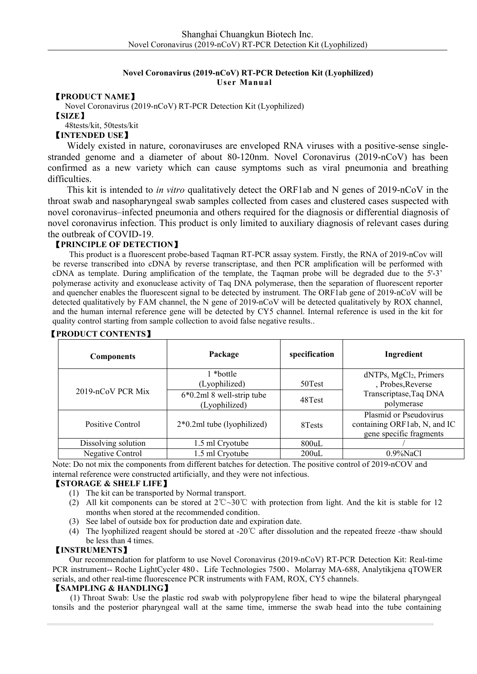### **Novel Coronavirus (2019-nCoV) RT-PCR Detection Kit (Lyophilized) User Manual**

【**PRODUCT NAME**】

Novel Coronavirus (2019-nCoV) RT-PCR Detection Kit (Lyophilized) 【**SIZE**】 48tests/kit, 50tests/kit

【**INTENDED USE**】

Widely existed in nature, coronaviruses are enveloped RNA viruses with a positive-sense single stranded genome and a diameter of about 80-120nm. Novel Coronavirus (2019-nCoV) has been confirmed as a new variety which can cause symptoms such as viral pneumonia and breathing difficulties.

This kit is intended to *in vitro* qualitatively detect the ORF1ab and N genes of 2019-nCoV in the throat swab and nasopharyngeal swab samples collected from cases and clustered cases suspected with novel coronavirus–infected pneumonia and others required for the diagnosis or differential diagnosis of novel coronavirus infection. This product is only limited to auxiliary diagnosis of relevant cases during the outbreak of COVID-19.

## 【**PRINCIPLE OF DETECTION**】

This product is a fluorescent probe-based Taqman RT-PCR assay system. Firstly, the RNA of 2019-nCov will be reverse transcribed into cDNA by reverse transcriptase, and then PCR amplification will be performed with cDNA as template. During amplification of the template, the Taqman probe will be degraded due to the 5'-3' polymerase activity and exonuclease activity of Taq DNA polymerase, then the separation of fluorescent reporter and quencher enables the fluorescent signal to be detected by instrument. The ORF1ab gene of 2019-nCoV will be detected qualitatively by FAM channel, the N gene of 2019-nCoV will be detected qualitatively by ROX channel, and the human internal reference gene will be detected by CY5 channel. Internal reference is used in the kit for quality control starting from sample collection to avoid false negative results..

| Components          | Package                                      | specification | Ingredient                                                                                      |  |
|---------------------|----------------------------------------------|---------------|-------------------------------------------------------------------------------------------------|--|
|                     | l *bottle<br>(Lyophilized)                   | 50Test        | dNTPs, MgCl <sub>2</sub> , Primers<br>, Probes, Reverse<br>Transcriptase, Taq DNA<br>polymerase |  |
| 2019-nCoV PCR Mix   | $6*0.2ml$ 8 well-strip tube<br>(Lyophilized) | 48Test        |                                                                                                 |  |
| Positive Control    | $2*0.2ml$ tube (lyophilized)                 | 8 Tests       | Plasmid or Pseudovirus<br>containing ORF1ab, N, and IC<br>gene specific fragments               |  |
| Dissolving solution | 1.5 ml Cryotube                              | $800$ uL      |                                                                                                 |  |
| Negative Control    | 1.5 ml Cryotube                              | 200uL         | $0.9\%$ NaCl                                                                                    |  |

## 【**PRODUCT CONTENTS**】

Note: Do not mix the components from different batches for detection. The positive control of 2019-nCOV and internal reference were constructed artificially, and they were not infectious.

### 【**STORAGE & SHELF LIFE**】

- (1) The kit can be transported by Normal transport.
- (2) All kit components can be stored at 2℃~30℃ with protection from light.And the kit is stable for 12 months when stored at the recommended condition.
- (3) See label of outside box for production date and expiration date.
- (4) The lyophilized reagent should be stored at -20℃ after dissolution and the repeated freeze -thaw should be less than 4 times.

### 【**INSTRUMENTS**】

Our recommendation for platform to use Novel Coronavirus (2019-nCoV) RT-PCR Detection Kit: Real-time PCR instrument-- Roche LightCycler 480、Life Technologies 7500、Molarray MA-688, Analytikjena qTOWER serials, and other real-time fluorescence PCR instruments with FAM, ROX, CY5 channels.

### 【**SAMPLING & HANDLING**】

(1) Throat Swab: Use the plastic rod swab with polypropylene fiber head to wipe the bilateral pharyngeal tonsils and the posterior pharyngeal wall at the same time, immerse the swab head into the tube containing